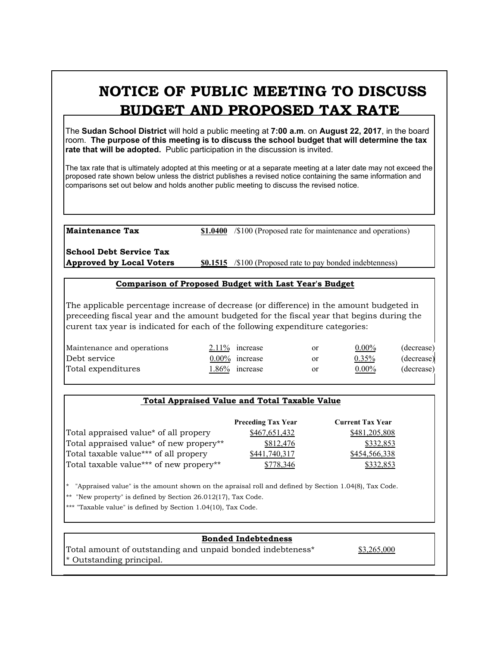# **NOTICE OF PUBLIC MEETING TO DISCUSS BUDGET AND PROPOSED TAX RATE**

The **Sudan School District** will hold a public meeting at **7:00 a.m**. on **August 22, 2017**, in the board room. **The purpose of this meeting is to discuss the school budget that will determine the tax rate that will be adopted.** Public participation in the discussion is invited.

The tax rate that is ultimately adopted at this meeting or at a separate meeting at a later date may not exceed the proposed rate shown below unless the district publishes a revised notice containing the same information and comparisons set out below and holds another public meeting to discuss the revised notice.

**Maintenance Tax \$1.0400** /\$100 (Proposed rate for maintenance and operations)

**School Debt Service Tax**

**Approved by Local Voters \$0.1515** /\$100 (Proposed rate to pay bonded indebtenness)

#### **Comparison of Proposed Budget with Last Year's Budget**

The applicable percentage increase of decrease (or difference) in the amount budgeted in preceeding fiscal year and the amount budgeted for the fiscal year that begins during the curent tax year is indicated for each of the following expenditure categories:

| Maintenance and operations | $2.11\%$ increase | or | $0.00\%$ | (decrease) |
|----------------------------|-------------------|----|----------|------------|
| Debt service               | $0.00\%$ increase | or | 0.35%    | (decrease) |
| Total expenditures         | 1.86% increase    | or | $0.00\%$ | (decrease) |
|                            |                   |    |          |            |

## **Total Appraised Value and Total Taxable Value**

|                                         | <b>Preceding Tax Year</b> | <b>Current Tax Year</b> |
|-----------------------------------------|---------------------------|-------------------------|
| Total appraised value* of all propery   | \$467,651,432             | \$481,205,808           |
| Total appraised value* of new propery** | \$812,476                 | \$332,853               |
| Total taxable value*** of all propery   | \$441,740,317             | \$454,566,338           |
| Total taxable value*** of new propery** | 778.346                   | \$332,853               |

\* "Appraised value" is the amount shown on the apraisal roll and defined by Section 1.04(8), Tax Code.

\*\* "New property" is defined by Section 26.012(17), Tax Code.

\*\*\* "Taxable value" is defined by Section 1.04(10), Tax Code.

## **Bonded Indebtedness**

Total amount of outstanding and unpaid bonded indebteness\* \$3,265,000 \* Outstanding principal.